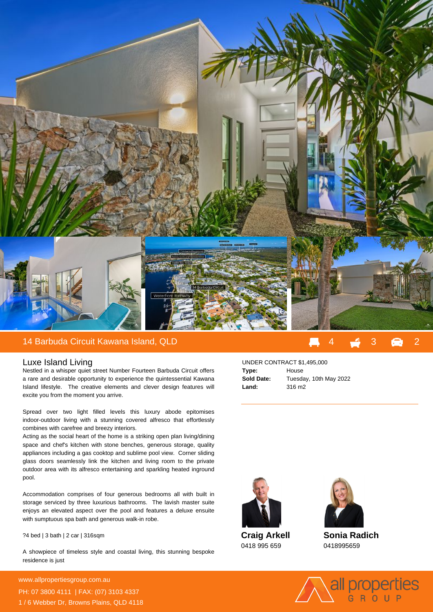

## 14 Barbuda Circuit Kawana Island, QLD 4 3 2

## Luxe Island Living

Nestled in a whisper quiet street Number Fourteen Barbuda Circuit offers a rare and desirable opportunity to experience the quintessential Kawana Island lifestyle. The creative elements and clever design features will excite you from the moment you arrive.

Spread over two light filled levels this luxury abode epitomises indoor-outdoor living with a stunning covered alfresco that effortlessly combines with carefree and breezy interiors.

Acting as the social heart of the home is a striking open plan living/dining space and chef's kitchen with stone benches, generous storage, quality appliances including a gas cooktop and sublime pool view. Corner sliding glass doors seamlessly link the kitchen and living room to the private outdoor area with its alfresco entertaining and sparkling heated inground pool.

Accommodation comprises of four generous bedrooms all with built in storage serviced by three luxurious bathrooms. The lavish master suite enjoys an elevated aspect over the pool and features a deluxe ensuite with sumptuous spa bath and generous walk-in robe.

? 4 bed | 3 bath | 2 car | 316sqm

A showpiece of timeless style and coastal living, this stunning bespoke residence is just

**For more details please visit** www.allpropertiesgroup.com.au/6948853529685352<br>External PH: 07 3800 4111 | FAX: (07) 3103 4337 1 / 6 Webber Dr, Browns Plains, QLD 4118

## UNDER CONTRACT \$1,495,000 **Type:** House **Sold Date:** Tuesday, 10th May 2022 **Land:** 316 m2



**Craig Arkell** 0418 995 659



**Sonia Radich** 0418995659